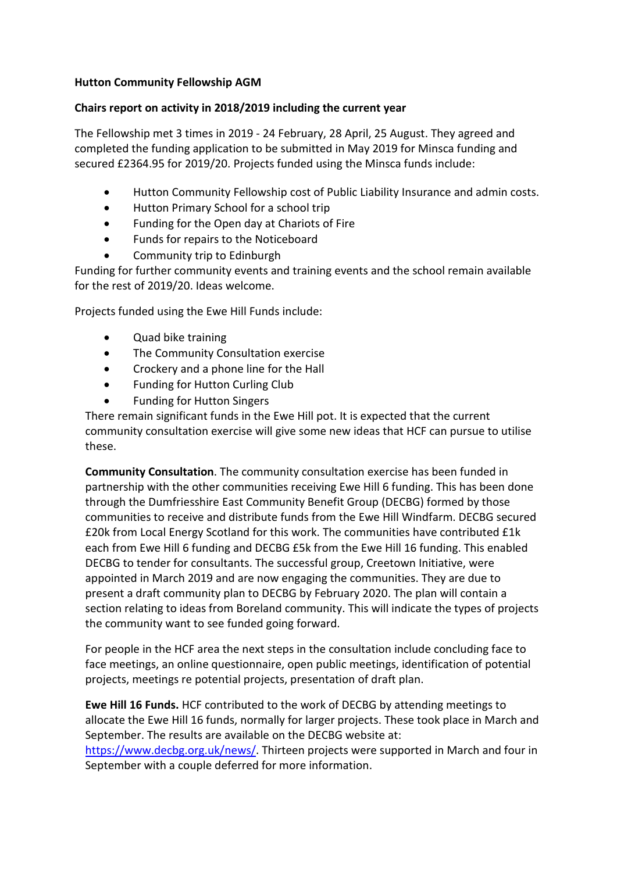## **Hutton Community Fellowship AGM**

## **Chairs report on activity in 2018/2019 including the current year**

The Fellowship met 3 times in 2019 - 24 February, 28 April, 25 August. They agreed and completed the funding application to be submitted in May 2019 for Minsca funding and secured £2364.95 for 2019/20. Projects funded using the Minsca funds include:

- Hutton Community Fellowship cost of Public Liability Insurance and admin costs.
- Hutton Primary School for a school trip
- Funding for the Open day at Chariots of Fire
- Funds for repairs to the Noticeboard
- Community trip to Edinburgh

Funding for further community events and training events and the school remain available for the rest of 2019/20. Ideas welcome.

Projects funded using the Ewe Hill Funds include:

- Quad bike training
- The Community Consultation exercise
- Crockery and a phone line for the Hall
- Funding for Hutton Curling Club
- Funding for Hutton Singers

There remain significant funds in the Ewe Hill pot. It is expected that the current community consultation exercise will give some new ideas that HCF can pursue to utilise these.

**Community Consultation**. The community consultation exercise has been funded in partnership with the other communities receiving Ewe Hill 6 funding. This has been done through the Dumfriesshire East Community Benefit Group (DECBG) formed by those communities to receive and distribute funds from the Ewe Hill Windfarm. DECBG secured £20k from Local Energy Scotland for this work. The communities have contributed £1k each from Ewe Hill 6 funding and DECBG £5k from the Ewe Hill 16 funding. This enabled DECBG to tender for consultants. The successful group, Creetown Initiative, were appointed in March 2019 and are now engaging the communities. They are due to present a draft community plan to DECBG by February 2020. The plan will contain a section relating to ideas from Boreland community. This will indicate the types of projects the community want to see funded going forward.

For people in the HCF area the next steps in the consultation include concluding face to face meetings, an online questionnaire, open public meetings, identification of potential projects, meetings re potential projects, presentation of draft plan.

**Ewe Hill 16 Funds.** HCF contributed to the work of DECBG by attending meetings to allocate the Ewe Hill 16 funds, normally for larger projects. These took place in March and September. The results are available on the DECBG website at: [https://www.decbg.org.uk/news/.](https://www.decbg.org.uk/news/) Thirteen projects were supported in March and four in September with a couple deferred for more information.